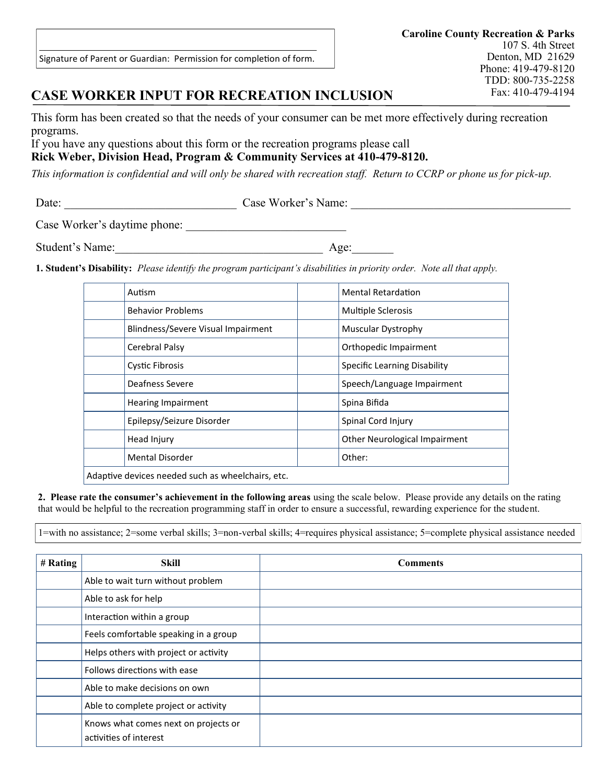## **Caroline County Recreation & Parks** 107 S. 4th Street Denton, MD 21629 Phone: 419-479-8120 TDD: 800-735-2258 Fax: 410-479-4194

## **CASE WORKER INPUT FOR RECREATION INCLUSION**

This form has been created so that the needs of your consumer can be met more effectively during recreation programs.

If you have any questions about this form or the recreation programs please call

**Rick Weber, Division Head, Program & Community Services at 410-479-8120.**

*This information is confidential and will only be shared with recreation staff. Return to CCRP or phone us for pick-up.*

Date: Case Worker's Name:

Case Worker's daytime phone: \_\_\_\_\_\_\_\_\_\_\_\_\_\_\_\_\_\_\_\_\_\_\_\_\_\_\_

Student's Name:\_\_\_\_\_\_\_\_\_\_\_\_\_\_\_\_\_\_\_\_\_\_\_\_\_\_\_\_\_\_\_\_\_\_\_ Age:\_\_\_\_\_\_\_

**1. Student's Disability:** *Please identify the program participant's disabilities in priority order. Note all that apply.*

| Autism                                            | <b>Mental Retardation</b>     |  |  |  |
|---------------------------------------------------|-------------------------------|--|--|--|
| <b>Behavior Problems</b>                          | <b>Multiple Sclerosis</b>     |  |  |  |
| Blindness/Severe Visual Impairment                | <b>Muscular Dystrophy</b>     |  |  |  |
| Cerebral Palsy                                    | Orthopedic Impairment         |  |  |  |
| Cystic Fibrosis                                   | Specific Learning Disability  |  |  |  |
| Deafness Severe                                   | Speech/Language Impairment    |  |  |  |
| Hearing Impairment                                | Spina Bifida                  |  |  |  |
| Epilepsy/Seizure Disorder                         | Spinal Cord Injury            |  |  |  |
| Head Injury                                       | Other Neurological Impairment |  |  |  |
| <b>Mental Disorder</b>                            | Other:                        |  |  |  |
| Adaptive devices needed such as wheelchairs, etc. |                               |  |  |  |

**2. Please rate the consumer's achievement in the following areas** using the scale below. Please provide any details on the rating that would be helpful to the recreation programming staff in order to ensure a successful, rewarding experience for the student.

1=with no assistance; 2=some verbal skills; 3=non-verbal skills; 4=requires physical assistance; 5=complete physical assistance needed

| # Rating | <b>Skill</b>                                                   | <b>Comments</b> |
|----------|----------------------------------------------------------------|-----------------|
|          | Able to wait turn without problem                              |                 |
|          | Able to ask for help                                           |                 |
|          | Interaction within a group                                     |                 |
|          | Feels comfortable speaking in a group                          |                 |
|          | Helps others with project or activity                          |                 |
|          | Follows directions with ease                                   |                 |
|          | Able to make decisions on own                                  |                 |
|          | Able to complete project or activity                           |                 |
|          | Knows what comes next on projects or<br>activities of interest |                 |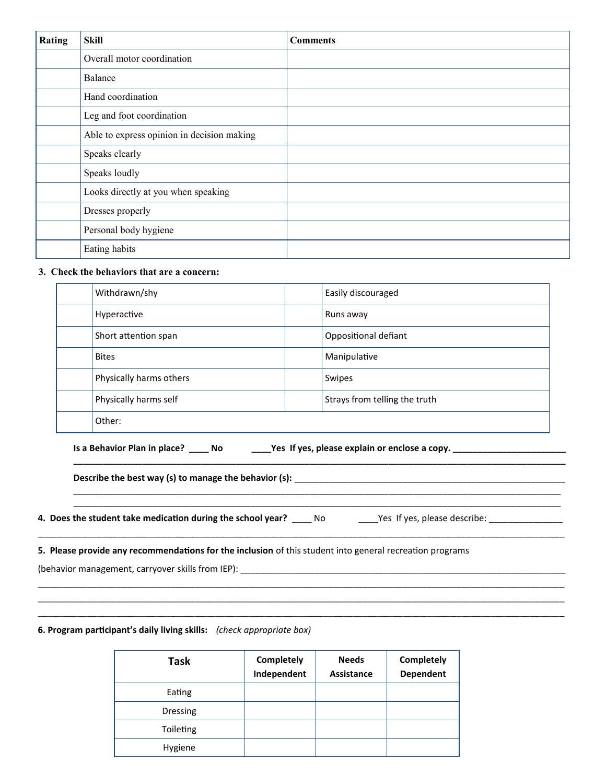| <b>Rating</b> | <b>Skill</b>                               | <b>Comments</b> |
|---------------|--------------------------------------------|-----------------|
|               | Overall motor coordination                 |                 |
|               | Balance                                    |                 |
|               | Hand coordination                          |                 |
|               | Leg and foot coordination                  |                 |
|               | Able to express opinion in decision making |                 |
|               | Speaks clearly                             |                 |
|               | Speaks loudly                              |                 |
|               | Looks directly at you when speaking        |                 |
|               | Dresses properly                           |                 |
|               | Personal body hygiene                      |                 |
|               | Eating habits                              |                 |

## **3. Check the behaviors that are a concern:**

| Withdrawn/shy           | Easily discouraged            |  |
|-------------------------|-------------------------------|--|
| Hyperactive             | Runs away                     |  |
| Short attention span    | Oppositional defiant          |  |
| <b>Bites</b>            | Manipulative                  |  |
| Physically harms others | Swipes                        |  |
| Physically harms self   | Strays from telling the truth |  |
| Other:                  |                               |  |

\_\_\_\_\_\_\_\_\_\_\_\_\_\_\_\_\_\_\_\_\_\_\_\_\_\_\_\_\_\_\_\_\_\_\_\_\_\_\_\_\_\_\_\_\_\_\_\_\_\_\_\_\_\_\_\_\_\_\_\_\_\_\_\_\_\_\_\_\_\_\_\_\_\_\_\_\_\_\_\_\_\_\_\_\_\_\_\_\_\_\_\_\_\_\_\_\_\_\_

\_\_\_\_\_\_\_\_\_\_\_\_\_\_\_\_\_\_\_\_\_\_\_\_\_\_\_\_\_\_\_\_\_\_\_\_\_\_\_\_\_\_\_\_\_\_\_\_\_\_\_\_\_\_\_\_\_\_\_\_\_\_\_\_\_\_\_\_\_\_\_\_\_\_\_\_\_\_\_\_\_\_\_\_\_\_\_\_\_\_\_\_\_\_\_\_\_\_\_\_\_\_\_\_\_\_\_

\_\_\_\_\_\_\_\_\_\_\_\_\_\_\_\_\_\_\_\_\_\_\_\_\_\_\_\_\_\_\_\_\_\_\_\_\_\_\_\_\_\_\_\_\_\_\_\_\_\_\_\_\_\_\_\_\_\_\_\_\_\_\_\_\_\_\_\_\_\_\_\_\_\_\_\_\_\_\_\_\_\_\_\_\_\_\_\_\_\_\_\_\_\_\_\_\_\_\_\_\_\_\_\_\_\_\_ \_\_\_\_\_\_\_\_\_\_\_\_\_\_\_\_\_\_\_\_\_\_\_\_\_\_\_\_\_\_\_\_\_\_\_\_\_\_\_\_\_\_\_\_\_\_\_\_\_\_\_\_\_\_\_\_\_\_\_\_\_\_\_\_\_\_\_\_\_\_\_\_\_\_\_\_\_\_\_\_\_\_\_\_\_\_\_\_\_\_\_\_\_\_\_\_\_\_\_\_\_\_\_\_\_\_\_ \_\_\_\_\_\_\_\_\_\_\_\_\_\_\_\_\_\_\_\_\_\_\_\_\_\_\_\_\_\_\_\_\_\_\_\_\_\_\_\_\_\_\_\_\_\_\_\_\_\_\_\_\_\_\_\_\_\_\_\_\_\_\_\_\_\_\_\_\_\_\_\_\_\_\_\_\_\_\_\_\_\_\_\_\_\_\_\_\_\_\_\_\_\_\_\_\_\_\_\_\_\_\_\_\_\_\_

**Is a Behavior Plan in place? \_\_\_\_ No \_\_\_\_Yes If yes, please explain or enclose a copy. \_\_\_\_\_\_\_\_\_\_\_\_\_\_\_\_\_\_\_\_\_\_\_**

**Describe the best way (s) to manage the behavior (s):** \_\_\_\_\_\_\_\_\_\_\_\_\_\_\_\_\_\_\_\_\_\_\_\_\_\_\_\_\_\_\_\_\_\_\_\_\_\_\_\_\_\_\_\_\_\_\_\_\_\_\_\_\_\_\_

**4. Does the student take medication during the school year?** \_\_\_\_ No \_\_\_\_\_Yes If yes, please describe: \_\_\_\_\_\_\_\_\_\_\_\_\_

**\_\_\_\_\_\_\_\_\_\_\_\_\_\_\_\_\_\_\_\_\_\_\_\_\_\_\_\_\_\_\_\_\_\_\_\_\_\_\_\_\_\_\_\_\_\_\_\_\_\_\_\_\_\_\_\_\_\_\_\_\_\_\_\_\_\_\_\_\_\_\_\_\_\_\_\_\_\_\_\_\_\_\_\_\_\_\_\_\_\_\_\_\_\_\_\_\_\_\_\_**

\_\_\_\_\_\_\_\_\_\_\_\_\_\_\_\_\_\_\_\_\_\_\_\_\_\_\_\_\_\_\_\_\_\_\_\_\_\_\_\_\_\_\_\_\_\_\_\_\_\_\_\_\_\_\_\_\_\_\_\_\_\_\_\_\_\_\_\_\_\_\_\_\_\_\_\_\_\_\_\_\_\_\_\_\_\_\_\_\_\_\_\_\_\_\_\_\_\_\_

**5. Please provide any recommendations for the inclusion** of this student into general recreation programs

(behavior management, carryover skills from IEP): \_\_\_\_\_\_\_\_\_\_\_\_\_\_\_\_\_\_\_\_\_\_\_\_\_\_\_\_\_\_\_\_\_\_\_\_\_\_\_\_\_\_\_\_\_\_\_\_\_\_\_\_\_\_\_\_\_\_\_\_\_\_\_\_\_\_

**6. Program participant's daily living skills:** *(check appropriate box)*

| <b>Task</b>     | Completely<br>Independent | <b>Needs</b><br><b>Assistance</b> | <b>Completely</b><br><b>Dependent</b> |
|-----------------|---------------------------|-----------------------------------|---------------------------------------|
| Eating          |                           |                                   |                                       |
| <b>Dressing</b> |                           |                                   |                                       |
| Toileting       |                           |                                   |                                       |
| Hygiene         |                           |                                   |                                       |